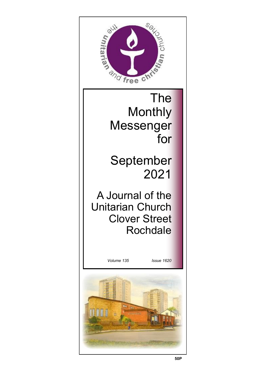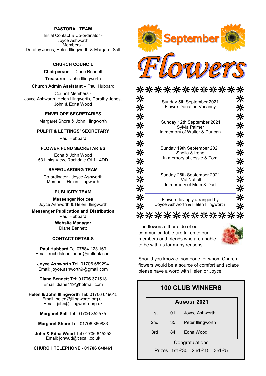#### **PASTORAL TEAM**

Initial Contact & Co-ordinator - Joyce Ashworth Members - Dorothy Jones, Helen Illingworth & Margaret Salt

#### **CHURCH COUNCIL**

**Chairperson** – Diane Bennett **Treasurer** – John Illingworth

#### **Church Admin Assistant** – Paul Hubbard

Council Members - Joyce Ashworth, Helen Illingworth, Dorothy Jones, John & Edna Wood

#### **ENVELOPE SECRETARIES**

Margaret Shore & John Illingworth

### **PULPIT & LETTINGS' SECRETARY**

Paul Hubbard

#### **FLOWER FUND SECRETARIES**

Edna & John Wood 53 Links View, Rochdale OL11 4DD

#### **SAFEGUARDING TEAM**

Co-ordinator - Joyce Ashworth Member - Helen Illingworth

#### **PUBLICITY TEAM**

**Messenger Notices** Joyce Ashworth & Helen Illingworth

**Messenger Publication and Distribution** Paul Hubbard

> **Website Manager**  Diane Bennett

#### **CONTACT DETAILS**

**Paul Hubbard** Tel 07884 123 169 Email: rochdaleunitarian@outlook.com

**Joyce Ashworth** Tel: 01706 659294 Email: joyce.ashworth9@gmail.com

**Diane Bennett** Tel: 01706 371518 Email: diane119@hotmail.com

**Helen & John Illingworth** Tel: 01706 649015 Email: helen@illingworth.org.uk Email: john@illingworth.org.uk

**Margaret Salt** Tel: 01706 852575

**Margaret Shore** Tel: 01706 360883

**John & Edna Wood** Tel 01706 645252 Email: jonwud@tiscali.co.uk

**CHURCH TELEPHONE - 01706 648461**



| <b>:米米米米米米米米米*&gt;</b> |
|------------------------|
|                        |
|                        |
|                        |
|                        |
|                        |
|                        |

The flowers either side of our communion table are taken to our members and friends who are unable to be with us for many reasons.



Should you know of someone for whom Church flowers would be a source of comfort and solace please have a word with Helen or Joyce

## **100 CLUB WINNERS**

| 1st | 01 | Joyce Ashworth |
|-----|----|----------------|
|     |    |                |

- 2nd 35 Peter Illingworth
- 3rd 84 Edna Wood

**Congratulations** 

Prizes- 1st £30 - 2nd £15 *-* 3rd £5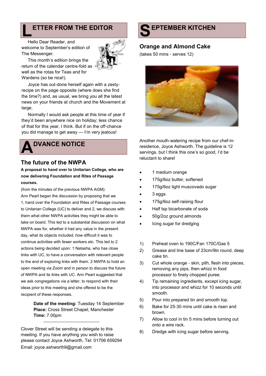# **ETTER FROM THE EDITOR**

**L** Hello Dear Reader, and welcome to September's edition of The Messenger.



This month's edition brings the return of the calendar centre-fold as well as the rotas for Teas and for Wardens (so be nice!).

Joyce has out-done herself again with a zestyrecipe on the page opposite (where does she find the time?) and, as usual, we bring you all the latest news on your friends at church and the Movement at large.

Normally I would ask people at this time of year if they'd been anywhere nice on holiday; less chance of that for this year, I think. But if on the off-chance you did manage to get away — I'm very jealous!

# **A DVANCE NOTICE**

## **The future of the NWPA**

**A proposal to hand over to Unitarian College, who are now delivering Foundation and Rites of Passage courses.** 

(from the minutes of the previous NWPA AGM): Ann Peart began the discussion by proposing that we 1, hand over the Foundation and Rites of Passage courses to Unitarian College (UC) to deliver and 2, we discuss with them what other NWPA activities they might be able to take on board. This led to a substantial discussion on what NWPA was for, whether it had any value in the present day, what its objects included, how difficult it was to continue activities with fewer workers etc. This led to 2 actions being decided upon: 1 Natasha, who has close links with UC, to have a conversation with relevant people to the end of exploring links with them. 2 NWPA to hold an open meeting via Zoom and in person to discuss the future of NWPA and its links with UC. Ann Peart suggested that we ask congregations via a letter, to respond with their ideas prior to this meeting and she offered to be the recipient of these responses.

> **Date of the meeting:** Tuesday 14 September **Place:** Cross Street Chapel, Manchester **Time:** 7.00pm

Clover Street will be sending a delegate to this meeting. If you have anything you wish to raise please contact Joyce Ashworth, Tel: 01706 659294 Email: joyce.ashworth9@gmail.com



## **Orange and Almond Cake**

(takes 50 mins - serves 12)



Another mouth-watering recipe from our chef-inresidence, Joyce Ashworth. The guideline is 12 servings, but I think this one's so good, I'd be reluctant to share!

- 1 medium orange
- 175g/6oz butter, softened
- 175g/6oz light muscovado sugar
- 3 eggs
- 175g/6oz self-raising flour
- Half tsp bicarbonate of soda
- 50g/2oz ground almonds
- Icing sugar for dredging
- 1) Preheat oven to 190C/Fan 170C/Gas 5
- 2) Grease and line base of 23cm/9in round, deep cake tin.
- 3) Cut whole orange skin, pith, flesh into pieces, removing any pips, then whizz in food processor to finely chopped puree.
- 4) Tip remaining ingredients, except icing sugar, into processor and whizz for 10 seconds until smooth.
- 5) Pour into prepared tin and smooth top.
- 6) Bake for 25-30 mins until cake is risen and brown.
- 7) Allow to cool in tin 5 mins before turning out onto a wire rack.
- 8) Dredge with icing sugar before serving.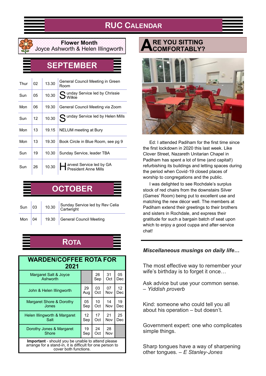# **RUC CALENDAR**



### **Flower Month** Joyce Ashworth & Helen Illingworth

# **SEPTEMBER**

| Thur | 02 | 13.30 | General Council Meeting in Green<br>Room                  |
|------|----|-------|-----------------------------------------------------------|
| Sun  | 05 | 10.30 | Q unday Service led by Chrissie<br>$\bigcup$ Wilkie       |
| Mon  | 06 | 19.30 | General Council Meeting via Zoom                          |
| Sun  | 12 | 10.30 | Cunday Service led by Helen Mills                         |
| Mon  | 13 | 19.15 | NELUM meeting at Bury                                     |
| Mon  | 13 | 19.30 | Book Circle in Blue Room, see pg 9                        |
| Sun  | 19 | 10.30 | Sunday Service, leader TBA                                |
| Sun  | 26 | 10.30 | <b>A</b> arvest Service led by GA<br>President Anne Mills |

| <b>OCTOBER</b> |  |  |                                                                                                                                                       |
|----------------|--|--|-------------------------------------------------------------------------------------------------------------------------------------------------------|
|                |  |  | Sun $\begin{array}{ c c c c c c }\n\hline\n\text{03} & 10.30 & \text{Sunday Service led by Rev Celia} \\ \hline\n\text{Cartwright} & & & \end{array}$ |
|                |  |  | Mon $\begin{vmatrix} 04 & 19.30 \end{vmatrix}$ General Council Meeting                                                                                |

# **ROTA**

| <b>WARDEN/COFFEE ROTA FOR</b><br>2021                                                                                                   |     |     |     |     |
|-----------------------------------------------------------------------------------------------------------------------------------------|-----|-----|-----|-----|
| Margaret Salt & Joyce                                                                                                                   |     | 26  | 31  | 05  |
| Ashworth                                                                                                                                |     | Sep | Oct | Dec |
| John & Helen Illingworth                                                                                                                | 29  | 03  | 07  | 12  |
|                                                                                                                                         | Aug | Oct | Nov | Dec |
| Margaret Shore & Dorothy                                                                                                                | 05  | 10  | 14  | 19  |
| Jones                                                                                                                                   | Sep | Oct | Nov | Dec |
| Helen Illingworth & Margaret                                                                                                            | 12  | 17  | 21  | 25  |
| Salt                                                                                                                                    | Sep | Oct | Nov | Dec |
| Dorothy Jones & Margaret                                                                                                                | 19  | 24  | 28  |     |
| Shore                                                                                                                                   | Sep | Oct | Nov |     |
| Important - should you be unable to attend please<br>arrange for a stand-in, it is difficult for one person to<br>cover both functions. |     |     |     |     |

#### **A RE YOU SITTING COMFORTABLY?**



Ed: I attended Padiham for the first time since the first lockdown in 2020 this last week. Like Clover Street, Nazareth Unitarian Chapel in Padiham has spent a lot of time (and capital!) refurbishing its buildings and letting spaces during the period when Covid-19 closed places of worship to congregations and the public.

I was delighted to see Rochdale's surplus stock of red chairs from the downstairs Silver (Games' Room) being put to excellent use and matching the new décor well. The members at Padiham extend their greetings to their brothers and sisters in Rochdale, and express their gratitude for such a bargain batch of seat upon which to enjoy a good cuppa and after-service chat!

## *Miscellaneous musings on daily life…*

The most effective way to remember your wife's birthday is to forget it once…

Ask advice but use your common sense. – *Yiddish proverb*

Kind: someone who could tell you all about his operation – but doesn't.

Government expert: one who complicates simple things.

Sharp tongues have a way of sharpening other tongues. – *E Stanley-Jones*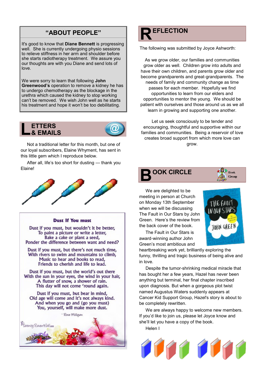# **R "ABOUT PEOPLE" EFLECTION**

It's good to know that **Diane Bennett** is progressing well. She is currently undergoing physio sessions to relieve stiffness in her arm and shoulder before she starts radiotherapy treatment. We assure you our thoughts are with you Diane and send lots of love.

We were sorry to learn that following **John Greenwood's** operation to remove a kidney he has to undergo chemotherapy as the blockage in the urethra which caused the kidney to stop working can't be removed. We wish John well as he starts his treatment and hope it won't be too debilitating.





Not a traditional letter for this month, but one of our loyal subscribers, Elaine Whyment, has sent in this little gem which I reproduce below.

After all, life's too short for dusting — thank you Elaine!



#### **Dust If You must**

Dust if you must, but wouldn't it be better, To paint a picture or write a letter, Bake a cake or plant a seed, Ponder the difference between want and need?

Dust if you must, but there's not much time, With rivers to swim and mountains to climb, Music to hear and books to read, Friends to cherish and life to lead.

Dust if you must, but the world's out there With the sun in your eyes, the wind in your hair, A flutter of snow, a shower of rain. This day will not come 'round again.

Dust if you must, but bear in mind, Old age will come and it's not always kind. And when you go and (go you must) You, yourself, will make more dust.

- Rose Milligan



The following was submitted by Joyce Ashworth:

As we grow older, our families and communities grow older as well. Children grow into adults and have their own children, and parents grow older and become grandparents and great-grandparents. The needs of family and community change as time passes for each member. Hopefully we find opportunities to learn from our elders and opportunities to mentor the young. We should be patient with ourselves and those around us as we all learn in growing and supporting one another.

Let us seek consciously to be tender and encouraging, thoughtful and supportive within our families and communities. Being a reservoir of love creates broad support from which more love can grow.



We are delighted to be meeting in person at Church on Monday 13th September when we will be discussing The Fault in Our Stars by John Green. Here's the review from the back cover of the book.



Group

The Fault in Our Stars is award-winning author John Green's most ambitious and

heartbreaking work yet, brilliantly exploring the funny, thrilling and tragic business of being alive and in love.

Despite the tumor-shrinking medical miracle that has bought her a few years, Hazel has never been anything but terminal, her final chapter inscribed upon diagnosis. But when a gorgeous plot twist named Augustus Waters suddenly appears at Cancer Kid Support Group, Hazel's story is about to be completely rewritten.

We are always happy to welcome new members. If you'd like to join us, please let Joyce know and she'll let you have a copy of the book.

Helen I

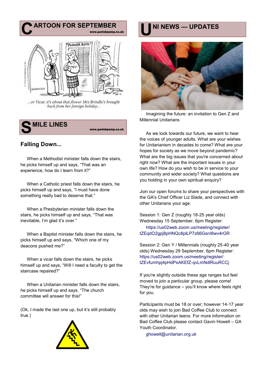

...er Vicar, it's about that flower Mrs Brindle's brought back from her foreign holiday...



# **Falling Down...**

When a Methodist minister falls down the stairs, he picks himself up and says, "That was an experience, how do I learn from it?"

When a Catholic priest falls down the stairs, he picks himself up and says, "I must have done something really bad to deserve that."

When a Presbyterian minister falls down the stairs, he picks himself up and says, "That was inevitable, I'm glad it's over."

When a Baptist minister falls down the stairs, he picks himself up and says, "Which one of my deacons pushed me?"

When a vicar falls down the stairs, he picks himself up and says, "Will I need a faculty to get the staircase repaired?"

When a Unitarian minister falls down the stairs, he picks himself up and says, "The church committee will answer for this!"

(Ok, I made the last one up, but it's still probably true.)





Imagining the future: an invitation to Gen Z and Millennial Unitarians

As we look towards our future, we want to hear the voices of younger adults. What are your wishes for Unitarianism in decades to come? What are your hopes for society as we move beyond pandemic? What are the big issues that you're concerned about right now? What are the important issues in your own life? How do you wish to be in service to your community and wider society? What questions are you holding in your own spiritual enquiry?

Join our open forums to share your perspectives with the GA's Chief Officer Liz Slade, and connect with other Unitarians your age.

Session 1: Gen Z (roughly 18-25 year olds) Wednesday 15 September, 6pm Register:

https://us02web.zoom.us/meeting/register/ tZEqdO2gpj8pHNQc8plLP7z66GsnI8wv4rGR

Session 2: Gen Y / Millennials (roughly 25-40 year olds) Wednesday 29 September, 6pm Register: https://us02web.zoom.us/meeting/register/ tZEvfumhpj4pHdPsAKEfZ-qvLmNdlRuuRCCj

If you're slightly outside these age ranges but feel moved to join a particular group, please come! They're for guidance – you'll know where feels right for you.

Participants must be 18 or over; however 14-17 year olds may wish to join Bad Coffee Club to connect with other Unitarian teens. For more information on Bad Coffee Club please contact Gavin Howell – GA Youth Coordinator.

ghowell@unitarian.org.uk